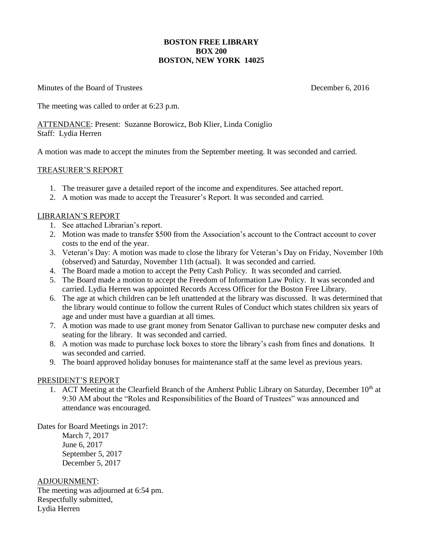### **BOSTON FREE LIBRARY BOX 200 BOSTON, NEW YORK 14025**

Minutes of the Board of Trustees **December 6, 2016** 

The meeting was called to order at 6:23 p.m.

ATTENDANCE: Present: Suzanne Borowicz, Bob Klier, Linda Coniglio Staff: Lydia Herren

A motion was made to accept the minutes from the September meeting. It was seconded and carried.

### TREASURER'S REPORT

- 1. The treasurer gave a detailed report of the income and expenditures. See attached report.
- 2. A motion was made to accept the Treasurer's Report. It was seconded and carried.

### LIBRARIAN'S REPORT

- 1. See attached Librarian's report.
- 2. Motion was made to transfer \$500 from the Association's account to the Contract account to cover costs to the end of the year.
- 3. Veteran's Day: A motion was made to close the library for Veteran's Day on Friday, November 10th (observed) and Saturday, November 11th (actual). It was seconded and carried.
- 4. The Board made a motion to accept the Petty Cash Policy. It was seconded and carried.
- 5. The Board made a motion to accept the Freedom of Information Law Policy. It was seconded and carried. Lydia Herren was appointed Records Access Officer for the Boston Free Library.
- 6. The age at which children can be left unattended at the library was discussed. It was determined that the library would continue to follow the current Rules of Conduct which states children six years of age and under must have a guardian at all times.
- 7. A motion was made to use grant money from Senator Gallivan to purchase new computer desks and seating for the library. It was seconded and carried.
- 8. A motion was made to purchase lock boxes to store the library's cash from fines and donations. It was seconded and carried.
- 9. The board approved holiday bonuses for maintenance staff at the same level as previous years.

### PRESIDENT'S REPORT

1. ACT Meeting at the Clearfield Branch of the Amherst Public Library on Saturday, December  $10<sup>th</sup>$  at 9:30 AM about the "Roles and Responsibilities of the Board of Trustees" was announced and attendance was encouraged.

Dates for Board Meetings in 2017:

March 7, 2017 June 6, 2017 September 5, 2017 December 5, 2017

ADJOURNMENT: The meeting was adjourned at 6:54 pm. Respectfully submitted, Lydia Herren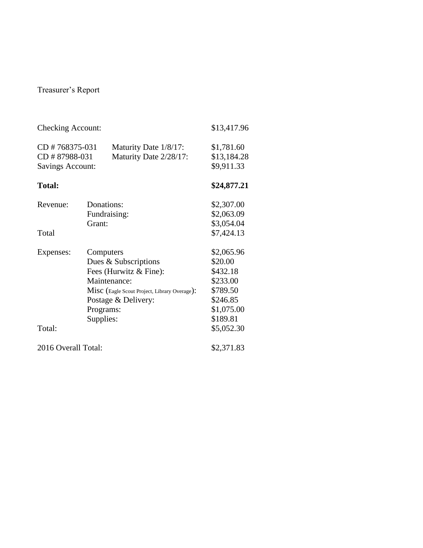# Treasurer's Report

| <b>Checking Account:</b>                                   |                                                                                                                                                                              |                                                 | \$13,417.96                                                                                                   |
|------------------------------------------------------------|------------------------------------------------------------------------------------------------------------------------------------------------------------------------------|-------------------------------------------------|---------------------------------------------------------------------------------------------------------------|
| CD #768375-031<br>CD #87988-031<br><b>Savings Account:</b> |                                                                                                                                                                              | Maturity Date 1/8/17:<br>Maturity Date 2/28/17: | \$1,781.60<br>\$13,184.28<br>\$9,911.33                                                                       |
| <b>Total:</b>                                              |                                                                                                                                                                              |                                                 | \$24,877.21                                                                                                   |
| Revenue:                                                   | Donations:<br>Fundraising:                                                                                                                                                   | \$2,307.00<br>\$2,063.09                        |                                                                                                               |
| Total                                                      | Grant:                                                                                                                                                                       | \$3,054.04<br>\$7,424.13                        |                                                                                                               |
| Expenses:<br>Total:                                        | Computers<br>Dues & Subscriptions<br>Fees (Hurwitz & Fine):<br>Maintenance:<br>Misc (Eagle Scout Project, Library Overage):<br>Postage & Delivery:<br>Programs:<br>Supplies: |                                                 | \$2,065.96<br>\$20.00<br>\$432.18<br>\$233.00<br>\$789.50<br>\$246.85<br>\$1,075.00<br>\$189.81<br>\$5,052.30 |
| 2016 Overall Total:                                        |                                                                                                                                                                              |                                                 | \$2,371.83                                                                                                    |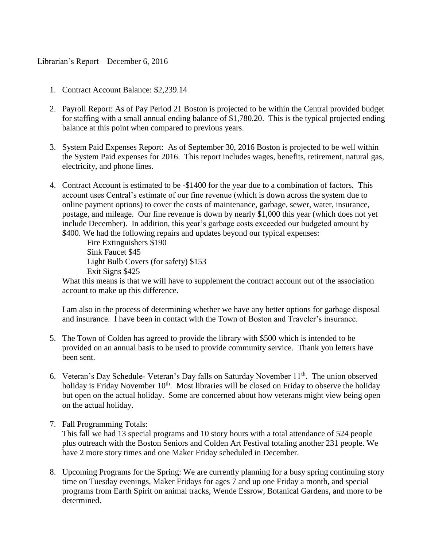## Librarian's Report – December 6, 2016

- 1. Contract Account Balance: \$2,239.14
- 2. Payroll Report: As of Pay Period 21 Boston is projected to be within the Central provided budget for staffing with a small annual ending balance of \$1,780.20. This is the typical projected ending balance at this point when compared to previous years.
- 3. System Paid Expenses Report: As of September 30, 2016 Boston is projected to be well within the System Paid expenses for 2016. This report includes wages, benefits, retirement, natural gas, electricity, and phone lines.
- 4. Contract Account is estimated to be -\$1400 for the year due to a combination of factors. This account uses Central's estimate of our fine revenue (which is down across the system due to online payment options) to cover the costs of maintenance, garbage, sewer, water, insurance, postage, and mileage. Our fine revenue is down by nearly \$1,000 this year (which does not yet include December). In addition, this year's garbage costs exceeded our budgeted amount by \$400. We had the following repairs and updates beyond our typical expenses:

Fire Extinguishers \$190 Sink Faucet \$45 Light Bulb Covers (for safety) \$153 Exit Signs \$425

What this means is that we will have to supplement the contract account out of the association account to make up this difference.

I am also in the process of determining whether we have any better options for garbage disposal and insurance. I have been in contact with the Town of Boston and Traveler's insurance.

- 5. The Town of Colden has agreed to provide the library with \$500 which is intended to be provided on an annual basis to be used to provide community service. Thank you letters have been sent.
- 6. Veteran's Day Schedule- Veteran's Day falls on Saturday November 11<sup>th</sup>. The union observed holiday is Friday November  $10<sup>th</sup>$ . Most libraries will be closed on Friday to observe the holiday but open on the actual holiday. Some are concerned about how veterans might view being open on the actual holiday.
- 7. Fall Programming Totals:

This fall we had 13 special programs and 10 story hours with a total attendance of 524 people plus outreach with the Boston Seniors and Colden Art Festival totaling another 231 people. We have 2 more story times and one Maker Friday scheduled in December.

8. Upcoming Programs for the Spring: We are currently planning for a busy spring continuing story time on Tuesday evenings, Maker Fridays for ages 7 and up one Friday a month, and special programs from Earth Spirit on animal tracks, Wende Essrow, Botanical Gardens, and more to be determined.